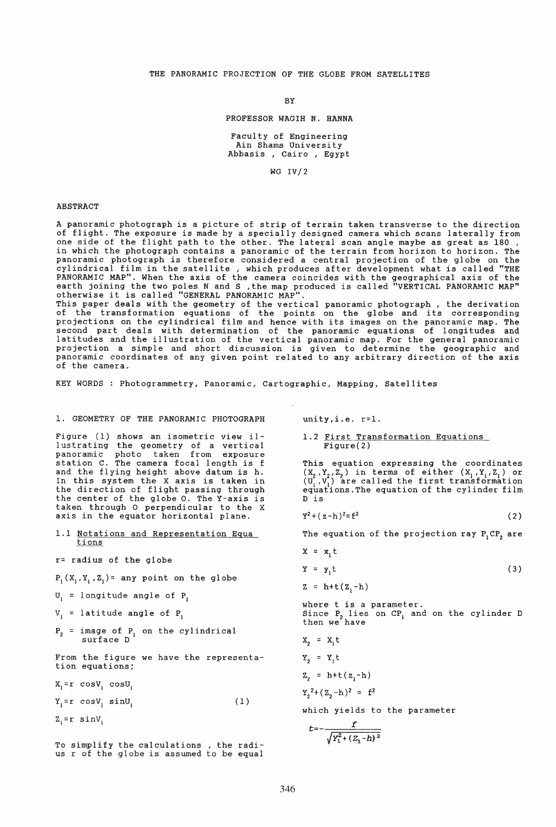#### BY

#### PROFESSOR WAGIH N. HANNA

Faculty of Engineering Ain Shams University Abbasis, Cairo, Egypt

WG IV/2

#### ABSTRACT

A panoramic photograph is a picture of strip of terrain taken transverse to the direction of flight. The exposure is made by a specially designed camera which scans laterally from one side of the flight path to the other. The lateral scan angle maybe as great as 180 , in which the photograph contains a panoramic of the terrain from horizon to horizon. The panoramic photograph is therefore considered a central projection of the globe on the cylindrical film in the satellite, which produces after development what is called "THE PANORAMIC MAP". When the axis of the camera coincides with the geographical axis of the<br>earth joining the two poles N and S ,the map produced is called "VERTICAL PANORAMIC MAP"<br>otherwise it is called "GENERAL PANORAMIC MAP

This paper deals with the geometry of the vertical panoramic photograph, the derivation of the transformation equations of the points on the globe and its corresponding projections on the cylindrical film and hence with its images on the panoramic map. The second part deals with determination of the panoramic equations of longitudes and latitudes and the illustration of the vertical panoramic map. For the general panoramic projection a simple and short discussion is given to determine the geographic and panoramic coordinates of any given point related to any arbitrary direction of the axis of the camera.

KEY WORDS : Photogrammetry, Panoramic, Cartographic, Mapping, Satellites

1. GEOMETRY OF THE PANORAMIC PHOTOGRAPH

Figure (1) shows an isometric view illustra ting the geometry of a vertical panoramic photo taken from exposure station C. The camera focal length is f and the flying height above datum is h. In this system the X axis is taken in the direction of flight passing through the center of the globe O. The Y-axis is taken through 0 perpendicular to the X axis in the equator horizontal plane.

- 1.1 Notations and Representation Equa <u>tions</u>
- r= radius of the globe

 $P_1(X_1, Y_1, Z_1) =$  any point on the globe

- $U_i$  = longitude angle of P<sub>i</sub>
- $V_i$  = latitude angle of P<sub>i</sub>
- $P_2$  = image of  $P_1$  on the cylindrical surface D

From the figure we have the representation equations;

 $X_i = r \cos V_i \cos U_i$ 

 $Y_1 = r \cos V_1 \sin U_1$ (1)

 $Z_1 = r \sin V_1$ 

To simplify the calculations , the radi- us r of the globe is assumed to be equal

 $unity, i.e. r=1.$ 

1.2 First Transformation Equations <u>Fitst Humbronmation .</u><br>Figure(2)

This equation expressing the coordinates  $(X_2, Y_2, Z_2)$  in terms of either  $(X_1, Y_1, Z_1)$  or  $(U_1, V_1)$  are called the first transformation equations.The equation of the cylinder film D is

 $Y^2 + (z-h)^2 = f^2$ (2)

The equation of the projection ray  $P_1 CP_2$  are

$$
X = x_1 t
$$
  
\n
$$
Y = y_1 t
$$
  
\n
$$
Z = h + t (Z_1 - h)
$$
 (3)

where t is a parameter. Since  $P_2$  lies on  $CP_1$  and on the cylinder D<br>then we have

$$
X_2 = X_1 t
$$
  
\n
$$
Y_2 = Y_1 t
$$
  
\n
$$
Z_2 = h + t (z_1 - h)
$$
  
\n
$$
Y_2^2 + (z_2 - h)^2 = f^2
$$
  
\nwhich yields to

which yields to the parameter

$$
t = -\frac{f}{\sqrt{Y_1^2 + (Z_1 - h)^2}}
$$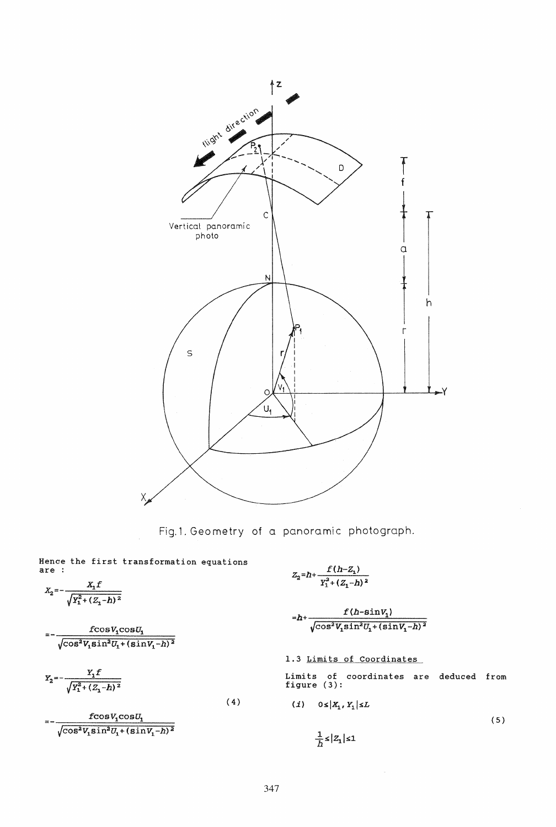

Fig.1. Geometry of a panoramic photograph.

Hence the first transformation equations are :

$$
X_2 = -\frac{X_1 f}{\sqrt{Y_1^2 + (Z_1 - h)^2}}
$$

$$
= -\frac{f\text{cos}V_1\text{cos}U_1}{\sqrt{\text{cos}^2V_1\text{sin}^2U_1+(\text{sin}V_1-h)^2}}
$$

$$
Y_2 = -\frac{Y_1 f}{\sqrt{Y_1^2 + (Z_1 - h)^2}}
$$

 $fcosV<sub>1</sub>cosU<sub>1</sub>$  $\sqrt{\cos^2 V_1 \sin^2 U_1 + (\sin V_1 - h)^2}$ 

$$
Z_2 = h + \frac{f(h-Z_1)}{Y_1^2 + (Z_1 - h)^2}
$$

$$
-h+\frac{f(h\text{-}\!\sinv_1)}{\sqrt{\cos^2V_1\!\sin^2U_1+(\sinV_1-h)^2}}
$$

1.3 Limits of Coordinates

Limits of coordinates are deduced from figure (3):

$$
(i) \quad 0 \le |X_1, Y_1| \le L
$$
\n
$$
\frac{1}{h} \le |Z_1| \le 1
$$
\n
$$
(5)
$$

(4)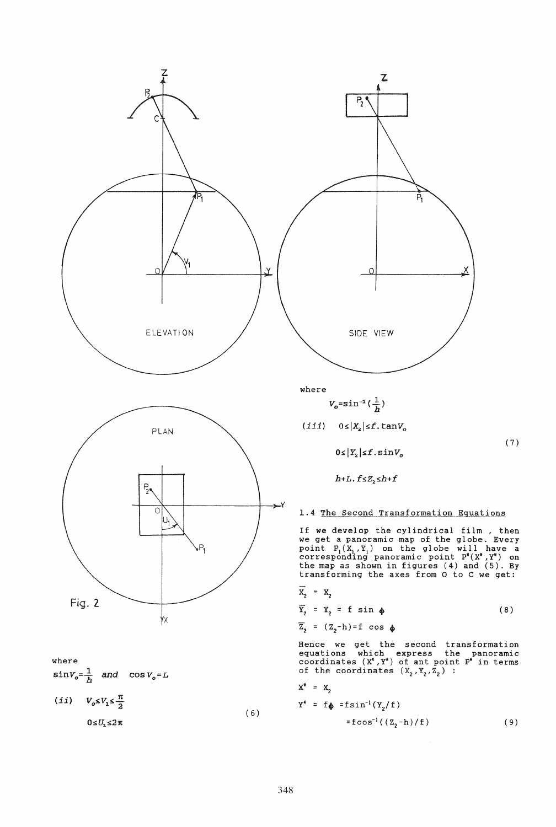

where  
\n
$$
\sin V_o = \frac{1}{h} \quad \text{and} \quad \cos V_o = L
$$
\n(*ii*) 
$$
V_o \le V_1 \le \frac{\pi}{2}
$$
\n
$$
0 \le U_1 \le 2\pi
$$
\n(6)

(7 )

 $h+L$ .  $f \leq Z_2 \leq h+f$ 

 $0 \leq |Y_2| \leq f \cdot \sin V_o$ 

 $V_o = sin^{-1}(\frac{1}{h})$ 

 $(iii)$   $0 \le |X_2| \le f$ .  $\tan V_o$ 

SIDE VIEW

z.

Ř,

X

 $\overline{P_2}$ 

## 1.4 The Second Transformation Equations

If we develop the cylindrical film , then we get a panoramic map of the globe. Every point  $P_1(X_1, Y_1)$  on the globe will have a corresponding panoramic point  $P^*(X^*, Y^*)$  on the map as shown in figures (4) and (5). By transforming the axes from 0 to C we get:

$$
X_2 = X_2
$$
  
\n
$$
\overline{Y}_2 = Y_2 = f \sin \phi
$$
 (8)

$$
\overline{z}_2 = (z_2 - h) = f \cos \phi
$$

Hence we get the second transformation equations which express the panoramic<br>coordinates  $(X^*, Y^*)$  of ant point  $P^*$  in terms of the coordinates  $(X_2, Y_2, Z_2)$  :

$$
X^* = X_2
$$
  
\n
$$
Y^* = f_{\phi} = f \sin^{-1}(Y_2/f)
$$
  
\n
$$
= f \cos^{-1}((Z_2 - h)/f)
$$
 (9)

 $\mathbf{x}^*$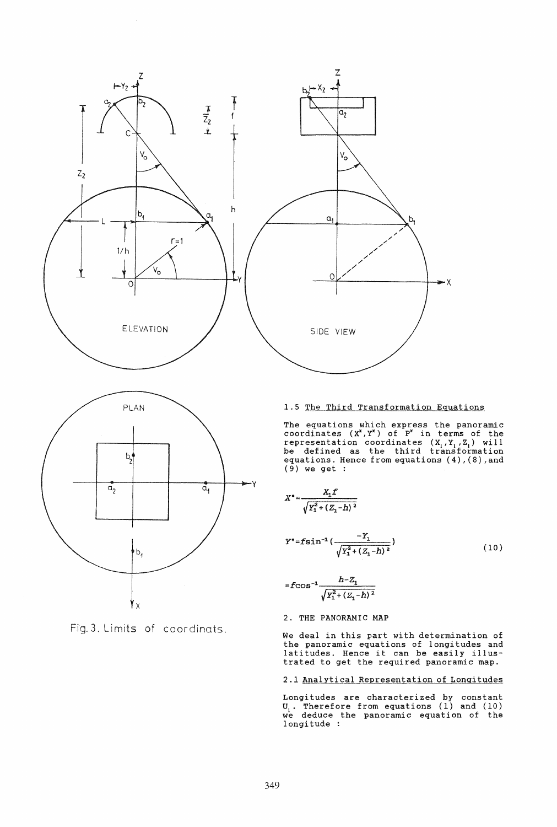



Fig. 3. limits of coordinats.

# 1.5 The Third Transformation Equations

The equations which express the panoramic coordinates  $(X^*, Y^*)$  of  $P^*$  in terms of the representation coordinates  $(X_1, Y_1, Z_1)$  will<br>be defined as the third transformation equations. Hence from equations (4), (8), and  $(9)$  we get :

$$
X^* = \frac{X_1 f}{\sqrt{Y_1^2 + (Z_1 - h)^2}}
$$

$$
Y^* = f \sin^{-1}\left(\frac{-Y_1}{\sqrt{Y_1^2 + (Z_1 - h)^2}}\right) \tag{10}
$$

$$
= f \cos^{-1} \frac{h - Z_1}{\sqrt{Y_1^2 + (Z_1 - h)^2}}
$$

# 2. THE PANORAMIC MAP

We deal in this part with determination of the panoramic equations of longitudes and latitudes. Hence it can be easily illustrated to get the required panoramic map.

#### 2.1 Analytical Representation of Longitudes

Longitudes are characterized by constant  $U_1$ . Therefore from equations (1) and (10) we deduce the panoramic equation of the longitude :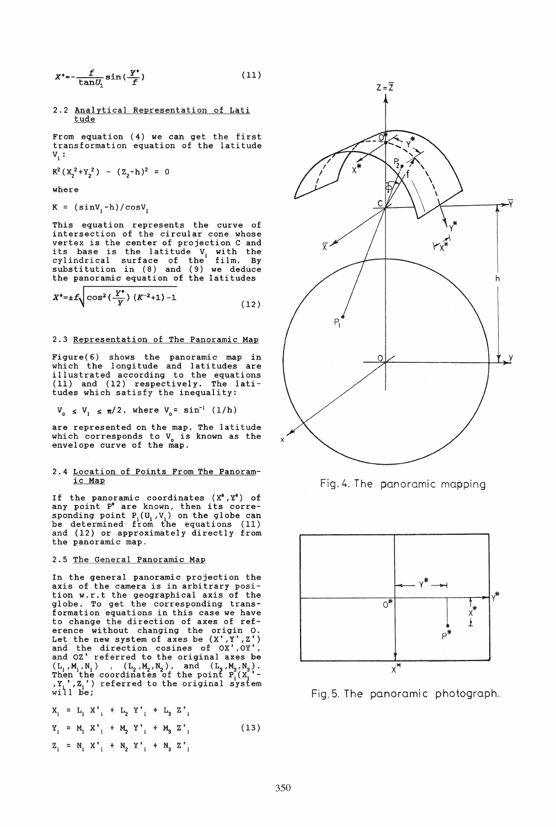$$
X^* = -\frac{f}{\tan U_1} \sin{(\frac{Y^*}{f})} \tag{11}
$$

### 2.2 Analytical Representation of Lati tude

From equation (4) we can get the first transformation equation of the latitude  $\mathbf{v}_i$  :

$$
K^2(X_2^2+Y_2^2) - (Z_2-h)^2 = 0
$$

where

$$
K = (sinV_1 - h) / cosV_1
$$

r

This equation represents the curve of intersection of the circular cone whose vertex is the center of projection C and its base is the latitude  $V_1$  with the cylindrical surface of the film. By substitution in (8) and (9) we deduce the panoramic equation of the latitudes

$$
X^* = \pm f \sqrt{\cos^2\left(\frac{Y^*}{Y}\right)(K^{-2}+1) - 1} \tag{12}
$$

# 2.3 Representation of The Panoramic Map

Figure(6) shows the panoramic map in which the longitude and latitudes are illustrated according to the equations illustrated according to the equations<br>(11) and (12) respectively. The latitudes which satisfy the inequality:

$$
V_0 \le V_1 \le \pi/2
$$
, where  $V_0 = \sin^{-1} (1/h)$ 

are represented on the map. The latitude which corresponds to  $V_0$  is known as the envelope curve of the map.

#### 2.4 Location of Points From The Panoramic Map

If the panoramic coordinates  $(X^*, X^*)$  of<br>any point P<sup>\*</sup> are known, then its corresponding point P<sub>I</sub>(U<sub>I</sub>, V<sub>I</sub>) on the globe can be determined from the equations (11) and (12) or approximately directly from the panoramic map.

## 2.5 The General Panoramic Map

In the general panoramic projection the axis of.the camera is in arbitrary position w.r.t the geographical axis of the globe. To get the corresponding transformation equations in this case we have<br>to change the direction of axes of refto change the direction of axes of ref- erence wi thout changing the origin O. Let the new system of axes be  $(X', Y', Z')$ and the direction cosines of OX',Oy', and OZ' referred to the original axes be  $(L_1, M_1, N_1)$  ,  $(L_2, M_2, N_2)$ , and  $(L_3, M_3, N_3)$ .<br>Then the coordinates of the point  $P_1(X_1^{\prime})$ - $\overline{X}_1^T$ ,  $\overline{Z}_1^T$ ) referred to the original system<br>will be;

$$
X_{1} = L_{1} X'_{1} + L_{2} Y'_{1} + L_{3} Z'_{1}
$$
  
\n
$$
Y_{1} = M_{1} X'_{1} + M_{2} Y'_{1} + M_{3} Z'_{1}
$$
  
\n
$$
Z_{1} = N_{1} X'_{1} + N_{2} Y'_{1} + N_{3} Z'_{1}
$$
  
\n(13)



Fig. 4. The panoramic mapping



Fig.5. The panoramic photograph.